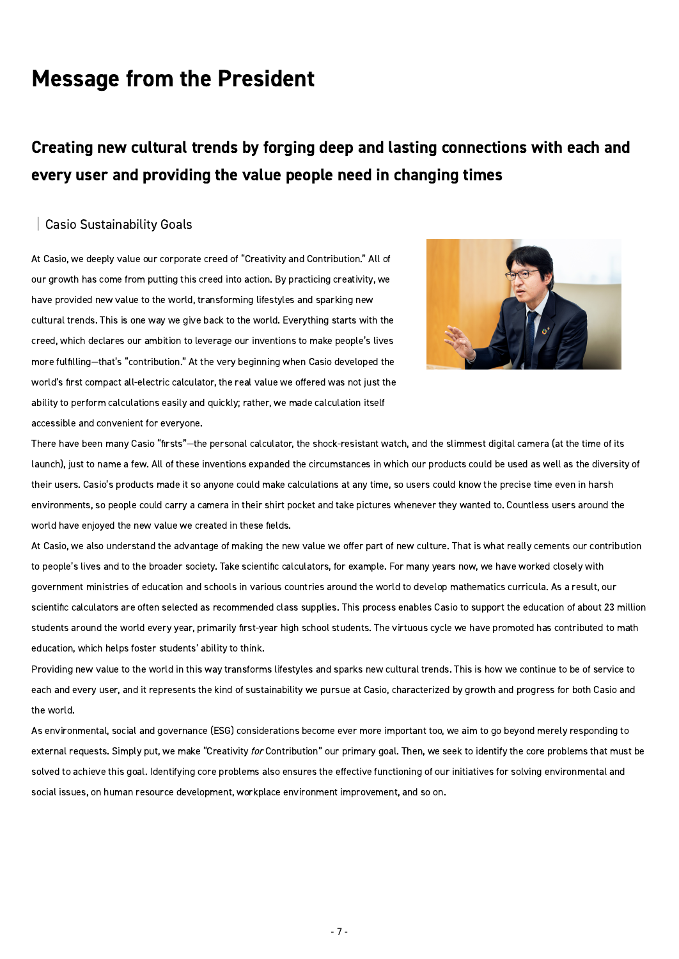# Message from the President

## Creating new cultural trends by forging deep and lasting connections with each and every user and providing the value people need in changing times

#### │Casio Sustainability Goals

At Casio, we deeply value our corporate creed of "Creativity and Contribution." All of our growth has come from putting this creed into action. By practicing creativity, we have provided new value to the world, transforming lifestyles and sparking new cultural trends. This is one way we give back to the world. Everything starts with the creed, which declares our ambition to leverage our inventions to make people's lives more fulfilling—that's "contribution." At the very beginning when Casio developed the world's first compact all-electric calculator, the real value we offered was not just the ability to perform calculations easily and quickly; rather, we made calculation itself accessible and convenient for everyone.



There have been many Casio "firsts"—the personal calculator, the shock-resistant watch, and the slimmest digital camera (at the time of its launch), just to name a few. All of these inventions expanded the circumstances in which our products could be used as well as the diversity of their users. Casio's products made it so anyone could make calculations at any time, so users could know the precise time even in harsh environments, so people could carry a camera in their shirt pocket and take pictures whenever they wanted to. Countless users around the world have enjoyed the new value we created in these fields.

At Casio, we also understand the advantage of making the new value we offer part of new culture. That is what really cements our contribution to people's lives and to the broader society. Take scientific calculators, for example. For many years now, we have worked closely with government ministries of education and schools in various countries around the world to develop mathematics curricula. As a result, our scientific calculators are often selected as recommended class supplies. This process enables Casio to support the education of about 23 million students around the world every year, primarily first-year high school students. The virtuous cycle we have promoted has contributed to math education, which helps foster students' ability to think.

Providing new value to the world in this way transforms lifestyles and sparks new cultural trends. This is how we continue to be of service to each and every user, and it represents the kind of sustainability we pursue at Casio, characterized by growth and progress for both Casio and the world.

As environmental, social and governance (ESG) considerations become ever more important too, we aim to go beyond merely responding to external requests. Simply put, we make "Creativity for Contribution" our primary goal. Then, we seek to identify the core problems that must be solved to achieve this goal. Identifying core problems also ensures the effective functioning of our initiatives for solving environmental and social issues, on human resource development, workplace environment improvement, and so on.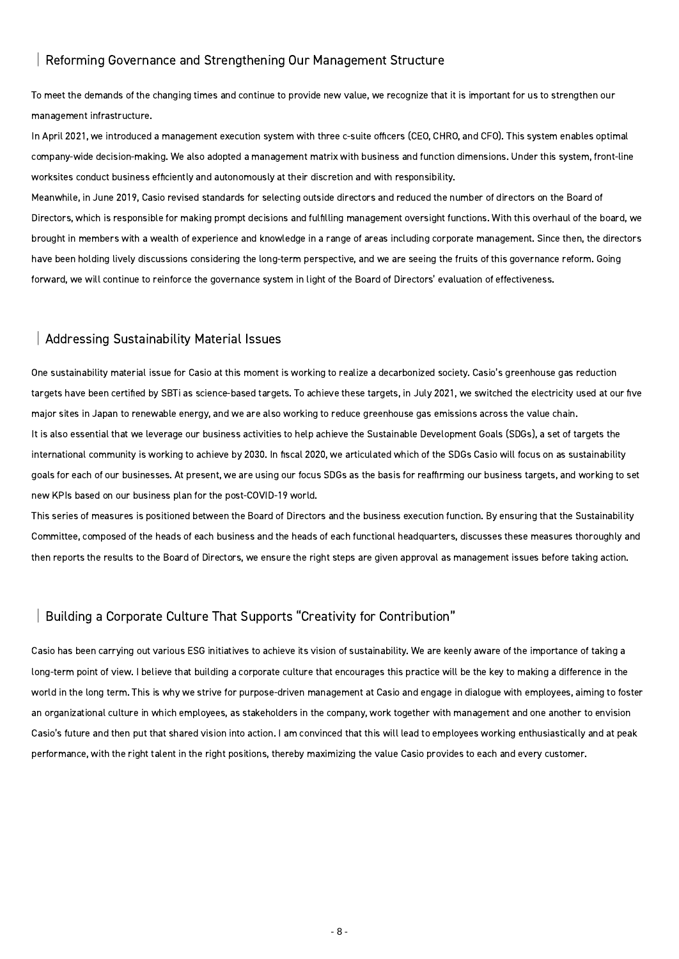#### │Reforming Governance and Strengthening Our Management Structure

To meet the demands of the changing times and continue to provide new value, we recognize that it is important for us to strengthen our management infrastructure.

In April 2021, we introduced a management execution system with three c-suite officers (CEO, CHRO, and CFO). This system enables optimal company-wide decision-making. We also adopted a management matrix with business and function dimensions. Under this system, front-line worksites conduct business efficiently and autonomously at their discretion and with responsibility.

Meanwhile, in June 2019, Casio revised standards for selecting outside directors and reduced the number of directors on the Board of Directors, which is responsible for making prompt decisions and fulfilling management oversight functions. With this overhaul of the board, we brought in members with a wealth of experience and knowledge in a range of areas including corporate management. Since then, the directors have been holding lively discussions considering the long-term perspective, and we are seeing the fruits of this governance reform. Going forward, we will continue to reinforce the governance system in light of the Board of Directors' evaluation of effectiveness.

#### │Addressing Sustainability Material Issues

One sustainability material issue for Casio at this moment is working to realize a decarbonized society. Casio's greenhouse gas reduction targets have been certified by SBTi as science-based targets. To achieve these targets, in July 2021, we switched the electricity used at our five major sites in Japan to renewable energy, and we are also working to reduce greenhouse gas emissions across the value chain. It is also essential that we leverage our business activities to help achieve the Sustainable Development Goals (SDGs), a set of targets the international community is working to achieve by 2030. In fiscal 2020, we articulated which of the SDGs Casio will focus on as sustainability goals for each of our businesses. At present, we are using our focus SDGs as the basis for reaffirming our business targets, and working to set new KPIs based on our business plan for the post-COVID-19 world.

This series of measures is positioned between the Board of Directors and the business execution function. By ensuring that the Sustainability Committee, composed of the heads of each business and the heads of each functional headquarters, discusses these measures thoroughly and then reports the results to the Board of Directors, we ensure the right steps are given approval as management issues before taking action.

#### │Building a Corporate Culture That Supports "Creativity for Contribution"

Casio has been carrying out various ESG initiatives to achieve its vision of sustainability. We are keenly aware of the importance of taking a long-term point of view. I believe that building a corporate culture that encourages this practice will be the key to making a difference in the world in the long term. This is why we strive for purpose-driven management at Casio and engage in dialogue with employees, aiming to foster an organizational culture in which employees, as stakeholders in the company, work together with management and one another to envision Casio's future and then put that shared vision into action. I am convinced that this will lead to employees working enthusiastically and at peak performance, with the right talent in the right positions, thereby maximizing the value Casio provides to each and every customer.